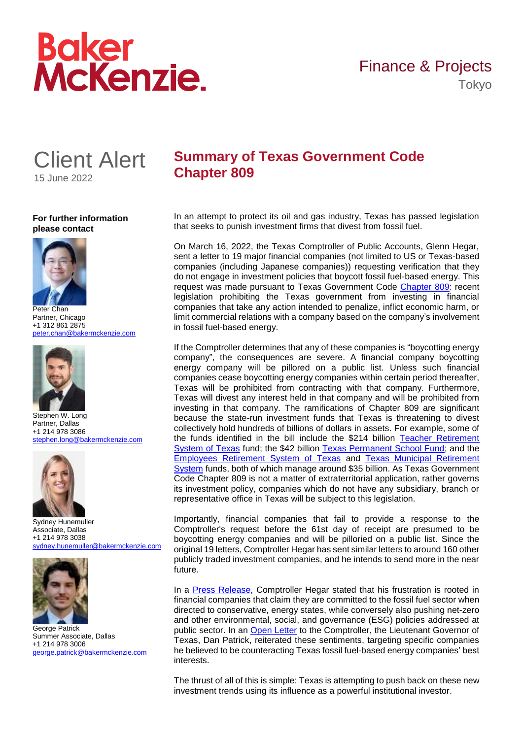# **Boker<br>McKenzie.**



**For further information please contact**



Peter Chan Partner, Chicago +1 312 861 2875 [peter.chan@bakermckenzie.com](mailto:peter.chan@bakermckenzie.com)



Stephen W. Long Partner, Dallas +1 214 978 3086 [stephen.long@bakermckenzie.com](mailto:stephen.long@bakermckenzie.com)



Sydney Hunemuller Associate, Dallas +1 214 978 3038 [sydney.hunemuller@bakermckenzie.com](mailto:sydney.hunemuller@bakermckenzie.com)



George Patrick Summer Associate, Dallas +1 214 978 3006 [george.patrick@bakermckenzie.com](mailto:george.patrick@bakermckenzie.com)

# **Summary of Texas Government Code Chapter 809**

In an attempt to protect its oil and gas industry, Texas has passed legislation that seeks to punish investment firms that divest from fossil fuel.

On March 16, 2022, the Texas Comptroller of Public Accounts, Glenn Hegar, sent a letter to 19 major financial companies (not limited to US or Texas-based companies (including Japanese companies)) requesting verification that they do not engage in investment policies that boycott fossil fuel-based energy. This request was made pursuant to Texas Government Code [Chapter 809:](https://statutes.capitol.texas.gov/Docs/GV/htm/GV.809.htm) recent legislation prohibiting the Texas government from investing in financial companies that take any action intended to penalize, inflict economic harm, or limit commercial relations with a company based on the company's involvement in fossil fuel-based energy.

If the Comptroller determines that any of these companies is "boycotting energy company", the consequences are severe. A financial company boycotting energy company will be pillored on a public list. Unless such financial companies cease boycotting energy companies within certain period thereafter, Texas will be prohibited from contracting with that company. Furthermore, Texas will divest any interest held in that company and will be prohibited from investing in that company. The ramifications of Chapter 809 are significant because the state-run investment funds that Texas is threatening to divest collectively hold hundreds of billions of dollars in assets. For example, some of the funds identified in the bill include the \$214 billion [Teacher Retirement](https://www.trs.texas.gov/TRS%20Documents/operating-budget-admin-2022.pdf)  [System of Texas](https://www.trs.texas.gov/TRS%20Documents/operating-budget-admin-2022.pdf) fund; the \$42 billion [Texas Permanent School Fund;](https://tea.texas.gov/sites/default/files/PSF_Annual_Report.pdf) and the [Employees Retirement System of Texas](https://ers.texas.gov/about-ers/ers-investments-overview/performance) and [Texas Municipal Retirement](https://www.tmrs.com/down/Investments/2022_Completed_Investments_Report_05172022.pdf)  [System](https://www.tmrs.com/down/Investments/2022_Completed_Investments_Report_05172022.pdf) funds, both of which manage around \$35 billion. As Texas Government Code Chapter 809 is not a matter of extraterritorial application, rather governs its investment policy, companies which do not have any subsidiary, branch or representative office in Texas will be subject to this legislation.

Importantly, financial companies that fail to provide a response to the Comptroller's request before the 61st day of receipt are presumed to be boycotting energy companies and will be pilloried on a public list. Since the original 19 letters, Comptroller Hegar has sent similar letters to around 160 other publicly traded investment companies, and he intends to send more in the near future.

In a [Press Release,](https://comptroller.texas.gov/about/media-center/news/20220316-texas-comptroller-glenn-hegar-seeks-information-from-19-companies-that-may-be-boycotting-fossil-fuel-industry-1647296122533) Comptroller Hegar stated that his frustration is rooted in financial companies that claim they are committed to the fossil fuel sector when directed to conservative, energy states, while conversely also pushing net-zero and other environmental, social, and governance (ESG) policies addressed at public sector. In an [Open Letter](https://www.ltgov.texas.gov/2022/01/19/lt-gov-dan-patrick-letter-to-comptroller-hegar-to-place-blackrock-at-the-top-of-the-list-of-financial-companies-that-boycott-the-texas-oil-gas-industry/) to the Comptroller, the Lieutenant Governor of Texas, Dan Patrick, reiterated these sentiments, targeting specific companies he believed to be counteracting Texas fossil fuel-based energy companies' best interests.

The thrust of all of this is simple: Texas is attempting to push back on these new investment trends using its influence as a powerful institutional investor.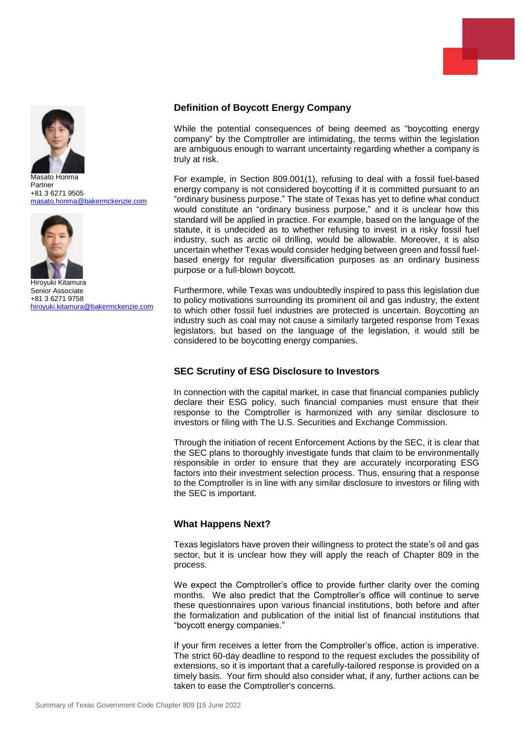

Masato Honma Partner +81 3 6271 9505 [masato.honma@bakermckenzie.com](mailto:masato.honma@bakermckenzie.com)



Hiroyuki Kitamura Senior Associate +81 3 6271 9758 [hiroyuki.kitamura@bakermckenzie.com](mailto:hiroyuki.kitamura@bakermckenzie.com)

### **Definition of Boycott Energy Company**

While the potential consequences of being deemed as "boycotting energy company" by the Comptroller are intimidating, the terms within the legislation are ambiguous enough to warrant uncertainty regarding whether a company is truly at risk.

For example, in Section 809.001(1), refusing to deal with a fossil fuel-based energy company is not considered boycotting if it is committed pursuant to an "ordinary business purpose." The state of Texas has yet to define what conduct would constitute an "ordinary business purpose," and it is unclear how this standard will be applied in practice. For example, based on the language of the statute, it is undecided as to whether refusing to invest in a risky fossil fuel industry, such as arctic oil drilling, would be allowable. Moreover, it is also uncertain whether Texas would consider hedging between green and fossil fuelbased energy for regular diversification purposes as an ordinary business purpose or a full-blown boycott.

Furthermore, while Texas was undoubtedly inspired to pass this legislation due to policy motivations surrounding its prominent oil and gas industry, the extent to which other fossil fuel industries are protected is uncertain. Boycotting an industry such as coal may not cause a similarly targeted response from Texas legislators, but based on the language of the legislation, it would still be considered to be boycotting energy companies.

### **SEC Scrutiny of ESG Disclosure to Investors**

In connection with the capital market, in case that financial companies publicly declare their ESG policy, such financial companies must ensure that their response to the Comptroller is harmonized with any similar disclosure to investors or filing with The U.S. Securities and Exchange Commission.

Through the initiation of recent Enforcement Actions by the SEC, it is clear that the SEC plans to thoroughly investigate funds that claim to be environmentally responsible in order to ensure that they are accurately incorporating ESG factors into their investment selection process. Thus, ensuring that a response to the Comptroller is in line with any similar disclosure to investors or filing with the SEC is important.

## **What Happens Next?**

Texas legislators have proven their willingness to protect the state's oil and gas sector, but it is unclear how they will apply the reach of Chapter 809 in the process.

We expect the Comptroller's office to provide further clarity over the coming months. We also predict that the Comptroller's office will continue to serve these questionnaires upon various financial institutions, both before and after the formalization and publication of the initial list of financial institutions that "boycott energy companies."

If your firm receives a letter from the Comptroller's office, action is imperative. The strict 60-day deadline to respond to the request excludes the possibility of extensions, so it is important that a carefully-tailored response is provided on a timely basis. Your firm should also consider what, if any, further actions can be taken to ease the Comptroller's concerns.